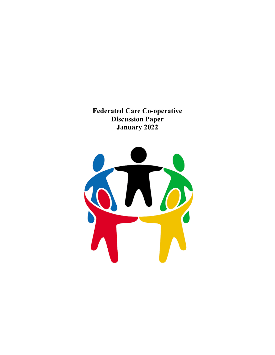**Federated Care Co-operative Discussion Paper January 2022**

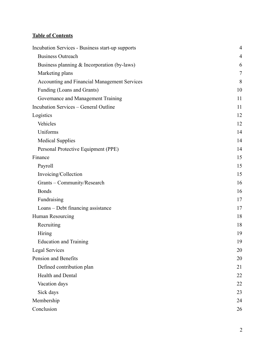## **Table of Contents**

| Incubation Services - Business start-up supports | $\overline{4}$ |
|--------------------------------------------------|----------------|
| <b>Business Outreach</b>                         | 4              |
| Business planning $&$ Incorporation (by-laws)    | 6              |
| Marketing plans                                  | 7              |
| Accounting and Financial Management Services     | 8              |
| Funding (Loans and Grants)                       | 10             |
| Governance and Management Training               | 11             |
| <b>Incubation Services - General Outline</b>     | 11             |
| Logistics                                        | 12             |
| Vehicles                                         | 12             |
| Uniforms                                         | 14             |
| <b>Medical Supplies</b>                          | 14             |
| Personal Protective Equipment (PPE)              | 14             |
| Finance                                          | 15             |
| Payroll                                          | 15             |
| Invoicing/Collection                             | 15             |
| Grants - Community/Research                      | 16             |
| <b>Bonds</b>                                     | 16             |
| Fundraising                                      | 17             |
| Loans – Debt financing assistance                | 17             |
| Human Resourcing                                 | 18             |
| Recruiting                                       | 18             |
| Hiring                                           | 19             |
| <b>Education and Training</b>                    | 19             |
| <b>Legal Services</b>                            | 20             |
| Pension and Benefits                             | 20             |
| Defined contribution plan                        | 21             |
| Health and Dental                                | 22             |
| Vacation days                                    | 22             |
| Sick days                                        | 23             |
| Membership                                       | 24             |
| Conclusion                                       | 26             |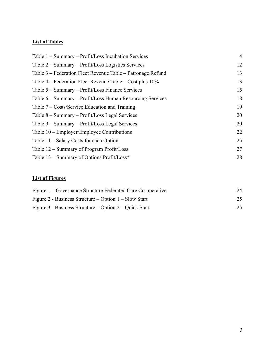## **List of Tables**

| Table 1 – Summary – Profit/Loss Incubation Services         | $\overline{4}$ |
|-------------------------------------------------------------|----------------|
| Table 2 – Summary – Profit/Loss Logistics Services          | 12             |
| Table 3 – Federation Fleet Revenue Table – Patronage Refund | 13             |
| Table 4 – Federation Fleet Revenue Table – Cost plus 10%    | 13             |
| Table 5 – Summary – Profit/Loss Finance Services            | 15             |
| Table 6 – Summary – Profit/Loss Human Resourcing Services   | 18             |
| Table $7 - \text{Costs/Service Education and Training}$     | 19             |
| Table 8 – Summary – Profit/Loss Legal Services              | 20             |
| Table 9 – Summary – Profit/Loss Legal Services              | 20             |
| Table 10 – Employer/Employee Contributions                  | 22             |
| Table 11 – Salary Costs for each Option                     | 25             |
| Table 12 – Summary of Program Profit/Loss                   | 27             |
| Table 13 – Summary of Options Profit/Loss*                  | 28             |
|                                                             |                |

## **List of Figures**

| Figure 1 – Governance Structure Federated Care Co-operative | 24 |
|-------------------------------------------------------------|----|
| Figure 2 - Business Structure – Option $1 -$ Slow Start     | 25 |
| Figure 3 - Business Structure – Option $2$ – Quick Start    | 25 |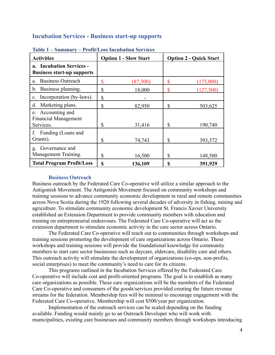#### <span id="page-3-0"></span>**Incubation Services - Business start-up supports**

| <b>Activities</b>                                             | <b>Option 1 - Slow Start</b> | <b>Option 2 - Quick Start</b> |
|---------------------------------------------------------------|------------------------------|-------------------------------|
| a. Incubation Services -<br><b>Business start-up supports</b> |                              |                               |
| <b>Business Outreach</b><br>a.                                | \$<br>(87,500)               | \$<br>(175,000)               |
| Business planning.<br>$b_{-}$                                 | \$<br>18,000                 | \$<br>(127,500)               |
| Incorporation (by-laws).<br>$\mathbf{c}$ .                    | \$                           |                               |
| Marketing plans.<br>d.                                        | \$<br>82,950                 | \$<br>503,625                 |
| e. Accounting and<br><b>Financial Management</b><br>Services. | \$<br>31,416                 | \$<br>190,740                 |
| Funding (Loans and<br>f.<br>Grants).                          | \$<br>74,743                 | 393,372<br>\$                 |
| Governance and<br>$g_{\cdot}$<br>Management Training.         | \$<br>16,500                 | \$<br>148,500                 |
| <b>Total Program Profit/Loss</b>                              | S<br>136,109                 | 391,929<br>\$                 |

<span id="page-3-2"></span>**Table 1 – Summary – Profit/Loss Incubation Services**

#### **Business Outreach**

<span id="page-3-1"></span>Business outreach by the Federated Care Co-operative will utilize a similar approach to the Antigonish Movement. The Antigonish Movement focused on community workshops and training sessions to advance community economic development in rural and remote communities across Nova Scotia during the 1920 following several decades of adversity in fishing, mining and agriculture. To stimulate community economic development St. Francis Xavier University established an Extension Department to provide community members with education and training on entrepreneurial endeavours. The Federated Care Co-operative will act as the extension department to stimulate economic activity in the care sector across Ontario.

The Federated Care Co-operative will reach out to communities through workshops and training sessions promoting the development of care organizations across Ontario. These workshops and training sessions will provide the foundational knowledge for community members to start care sector businesses such as daycare, eldercare, disability care and others. This outreach activity will stimulate the development of organizations (co-ops, non-profits, social enterprises) to meet the community's need to care for its citizens.

This programs outlined in the Incubation Services offered by the Federated Care Co-operative will include cost and profit-oriented programs. The goal is to establish as many care organizations as possible. These care organizations will be the members of the Federated Care Co-operative and consumers of the goods/services provided creating the future revenue streams for the federation. Membership fees will be minimal to encourage engagement with the Federated Care Co-operative. Membership will cost \$500/year per organization.

Implementation of the outreach services can be scaled depending on the funding available. Funding would mainly go to an Outreach Developer who will work with municipalities, existing care businesses and community members through workshops introducing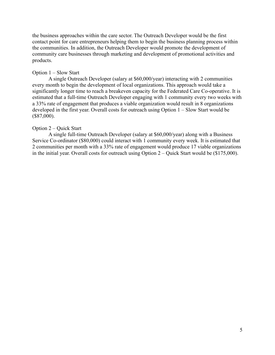the business approaches within the care sector. The Outreach Developer would be the first contact point for care entrepreneurs helping them to begin the business planning process within the communities. In addition, the Outreach Developer would promote the development of community care businesses through marketing and development of promotional activities and products.

#### Option 1 – Slow Start

A single Outreach Developer (salary at \$60,000/year) interacting with 2 communities every month to begin the development of local organizations. This approach would take a significantly longer time to reach a breakeven capacity for the Federated Care Co-operative. It is estimated that a full-time Outreach Developer engaging with 1 community every two weeks with a 33% rate of engagement that produces a viable organization would result in 8 organizations developed in the first year. Overall costs for outreach using Option 1 – Slow Start would be (\$87,000).

#### Option 2 – Quick Start

A single full-time Outreach Developer (salary at \$60,000/year) along with a Business Service Co-ordinator (\$80,000) could interact with 1 community every week. It is estimated that 2 communities per month with a 33% rate of engagement would produce 17 viable organizations in the initial year. Overall costs for outreach using Option 2 – Quick Start would be (\$175,000).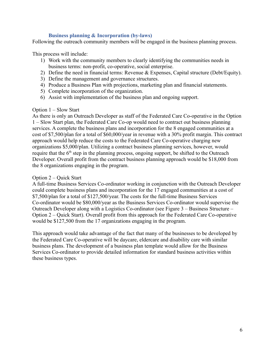#### **Business planning & Incorporation (by-laws)**

<span id="page-5-0"></span>Following the outreach community members will be engaged in the business planning process.

This process will include:

- 1) Work with the community members to clearly identifying the communities needs in business terms: non-profit, co-operative, social enterprise.
- 2) Define the need in financial terms: Revenue & Expenses, Capital structure (Debt/Equity).
- 3) Define the management and governance structures.
- 4) Produce a Business Plan with projections, marketing plan and financial statements.
- 5) Complete incorporation of the organization.
- 6) Assist with implementation of the business plan and ongoing support.

#### Option 1 – Slow Start

As there is only an Outreach Developer as staff of the Federated Care Co-operative in the Option 1 – Slow Start plan, the Federated Care Co-op would need to contract out business planning services. A complete the business plans and incorporation for the 8 engaged communities at a cost of \$7,500/plan for a total of \$60,000/year in revenue with a 30% profit margin. This contract approach would help reduce the costs to the Federated Care Co-operative charging new organizations \$5,000/plan. Utilizing a contract business planning services, however, would require that the  $6<sup>th</sup>$  step in the planning process, ongoing support, be shifted to the Outreach Developer. Overall profit from the contract business planning approach would be \$18,000 from the 8 organizations engaging in the program.

#### Option 2 – Quick Start

A full-time Business Services Co-ordinator working in conjunction with the Outreach Developer could complete business plans and incorporation for the 17 engaged communities at a cost of \$7,500/plan for a total of \$127,500/year. The costs for the full-time Business Services Co-ordinator would be \$80,000/year as the Business Services Co-ordinator would supervise the Outreach Developer along with a Logistics Co-ordinator (see Figure 3 – Business Structure – Option 2 – Quick Start). Overall profit from this approach for the Federated Care Co-operative would be \$127,500 from the 17 organizations engaging in the program.

This approach would take advantage of the fact that many of the businesses to be developed by the Federated Care Co-operative will be daycare, eldercare and disability care with similar business plans. The development of a business plan template would allow for the Business Services Co-ordinator to provide detailed information for standard business activities within these business types.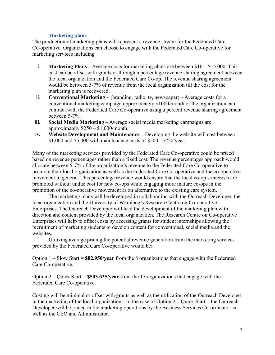#### **Marketing plans**

<span id="page-6-0"></span>The production of marketing plans will represent a revenue stream for the Federated Care Co-operative. Organizations can choose to engage with the Federated Care Co-operative for marketing services including

- i. **Marketing Plans** Average costs for marketing plans are between \$10 \$15,000. This cost can be offset with grants or through a percentage revenue sharing agreement between the local organization and the Federated Care Co-op. The revenue sharing agreement would be between 5-7% of revenue from the local organization till the cost for the marketing plan is recovered.
- ii. **Conventional Marketing** (branding, radio, tv, newspaper) Average costs for a conventional marketing campaign approximately \$1000/month or the organization can contract with the Federated Care Co-operative using a percent revenue sharing agreement between 5-7%.
- **iii. Social Media Marketing** Average social media marketing campaigns are approximately  $$250 - $1,000/m$ onth.
- **iv. Website Development and Maintenance –** Developing the website will cost between \$1,000 and \$5,000 with maintenance costs of \$500 - \$750/year.

Many of the marketing services provided by the Federated Care Co-operative could be priced based on revenue percentages rather than a fixed cost. The revenue percentages approach would allocate between 5-7% of the organization's revenue to the Federated Care Co-operative to promote their local organization as well as the Federated Care Co-operative and the co-operative movement in general. This percentage revenue would ensure that the local co-op's interests are promoted without undue cost for new co-ops while engaging more mature co-ops in the promotion of the co-operative movement as an alternative to the existing care system.

The marketing plans will be developed in collaboration with the Outreach Developer, the local organization and the University of Winnipeg's Research Centre on Co-operative Enterprises. The Outreach Developer will lead the development of the marketing plan with direction and content provided by the local organization. The Research Centre on Co-operative Enterprises will help to offset costs by accessing grants for student internships allowing the recruitment of marketing students to develop content for conventional, social media and the websites.

Utilizing average pricing the potential revenue generation from the marketing services provided by the Federated Care Co-operative would be:

Option 1 – Slow Start = **\$82,950/year** from the 8 organizations that engage with the Federated Care Co-operative.

Option 2 – Quick Start = **\$503,625/year** from the 17 organizations that engage with the Federated Care Co-operative.

Costing will be minimal or offset with grants as well as the utilization of the Outreach Developer in the marketing of the local organizations. In the case of Option 2 – Quick Start – the Outreach Developer will be joined in the marketing operations by the Business Services Co-ordinator as well as the CEO and Administrator.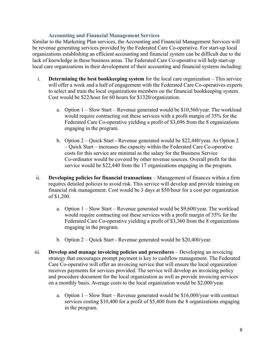#### **Accounting and Financial Management Services**

<span id="page-7-0"></span>Similar to the Marketing Plan services, the Accounting and Financial Management Services will be revenue generating services provided by the Federated Care Co-operative. For start-up local organizations establishing an efficient accounting and financial system can be difficult due to the lack of knowledge in these business areas. The Federated Care Co-operative will help start-up local care organizations in their development of their accounting and financial systems including:

- i. **Determining the best bookkeeping system** for the local care organization This service will offer a week and a half of engagement with the Federated Care Co-operatives experts to select and train the local organizations members on the financial bookkeeping system. Cost would be \$22/hour for 60 hours for \$1320/organization.
	- a. Option  $1 -$  Slow Start Revenue generated would be \$10,560/year. The workload would require contracting out these services with a profit margin of 35% for the Federated Care Co-operative yielding a profit of \$3,696 from the 8 organizations engaging in the program.
	- b. Option 2 Quick Start Revenue generated would be \$22,440/year. As Option 2 – Quick Start – increases the capacity within the Federated Care Co-operative costs for this service are minimal as the salary for the Business Service Co-ordinator would be covered by other revenue sources. Overall profit for this service would be \$22,440 from the 17 organizations engaging in the program.
- ii. **Developing policies for financial transactions** Management of finances within a firm requires detailed policies to avoid risk. This service will develop and provide training on financial risk management. Cost would be 3 days at \$50/hour for a cost per organization of \$1,200.
	- a. Option 1 Slow Start Revenue generated would be \$9,600/year. The workload would require contracting out these services with a profit margin of 35% for the Federated Care Co-operative yielding a profit of \$3,360 from the 8 organizations engaging in the program.
	- b. Option 2 Quick Start Revenue generated would be \$20,400/year.
- iii. **Develop and manage invoicing policies and procedures** Developing an invoicing strategy that encourages prompt payment is key to cashflow management. The Federated Care Co-operative will offer an invoicing service that will ensure the local organization receives payments for services provided. The service will develop an invoicing policy and procedure document for the local organization as well as provide invoicing services on a monthly basis. Average costs to the local organization would be \$2,000/year.
	- a. Option  $1 -$  Slow Start Revenue generated would be \$16,000/year with contract services costing \$10,400 for a profit of \$5,400 from the 8 organizations engaging in the program.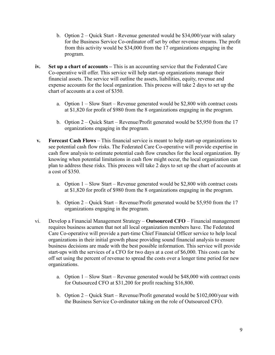- b. Option 2 Quick Start Revenue generated would be \$34,000/year with salary for the Business Service Co-ordinator off set by other revenue streams. The profit from this activity would be \$34,000 from the 17 organizations engaging in the program.
- **iv. Set up a chart of accounts –** This is an accounting service that the Federated Care Co-operative will offer. This service will help start-up organizations manage their financial assets. The service will outline the assets, liabilities, equity, revenue and expense accounts for the local organization. This process will take 2 days to set up the chart of accounts at a cost of \$350.
	- a. Option 1 Slow Start Revenue generated would be \$2,800 with contract costs at \$1,820 for profit of \$980 from the 8 organizations engaging in the program.
	- b. Option 2 Quick Start Revenue/Profit generated would be \$5,950 from the 17 organizations engaging in the program.
- **v. Forecast Cash Flows** This financial service is meant to help start-up organizations to see potential cash flow risks. The Federated Care Co-operative will provide expertise in cash flow analysis to estimate potential cash flow crunches for the local organization. By knowing when potential limitations in cash flow might occur, the local organization can plan to address these risks. This process will take 2 days to set up the chart of accounts at a cost of \$350.
	- a. Option  $1 -$  Slow Start Revenue generated would be \$2,800 with contract costs at \$1,820 for profit of \$980 from the 8 organizations engaging in the program.
	- b. Option 2 Quick Start Revenue/Profit generated would be \$5,950 from the 17 organizations engaging in the program.
- vi. Develop a Financial Management Strategy **Outsourced CFO** Financial management requires business acumen that not all local organization members have. The Federated Care Co-operative will provide a part-time Chief Financial Officer service to help local organizations in their initial growth phase providing sound financial analysis to ensure business decisions are made with the best possible information. This service will provide start-ups with the services of a CFO for two days at a cost of \$6,000. This costs can be off set using the percent of revenue to spread the costs over a longer time period for new organizations.
	- a. Option 1 Slow Start Revenue generated would be \$48,000 with contract costs for Outsourced CFO at \$31,200 for profit reaching \$16,800.
	- b. Option 2 Quick Start Revenue/Profit generated would be \$102,000/year with the Business Service Co-ordinator taking on the role of Outsourced CFO.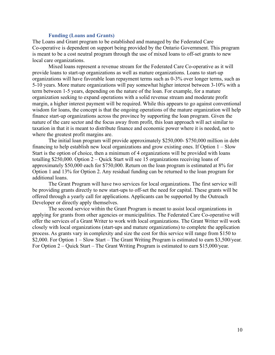#### **Funding (Loans and Grants)**

<span id="page-9-0"></span>The Loans and Grant program to be established and managed by the Federated Care Co-operative is dependent on support being provided by the Ontario Government. This program is meant to be a cost neutral program through the use of mixed loans to off-set grants to new local care organizations.

Mixed loans represent a revenue stream for the Federated Care Co-operative as it will provide loans to start-up organizations as well as mature organizations. Loans to start-up organizations will have favorable loan repayment terms such as 0-3% over longer terms, such as 5-10 years. More mature organizations will pay somewhat higher interest between 3-10% with a term between 1-5 years, depending on the nature of the loan. For example, for a mature organization seeking to expand operations with a solid revenue stream and moderate profit margin, a higher interest payment will be required. While this appears to go against conventional wisdom for loans, the concept is that the ongoing operations of the mature organization will help finance start-up organizations across the province by supporting the loan program. Given the nature of the care sector and the focus away from profit, this loan approach will act similar to taxation in that it is meant to distribute finance and economic power where it is needed, not to where the greatest profit margins are.

The initial loan program will provide approximately \$250,000- \$750,000 million in debt financing to help establish new local organizations and grow existing ones. If Option 1 – Slow Start is the option of choice, then a minimum of 4 organizations will be provided with loans totalling \$250,000. Option 2 – Quick Start will see 15 organizations receiving loans of approximately \$50,000 each for \$750,000. Return on the loan program is estimated at 8% for Option 1 and 13% for Option 2. Any residual funding can be returned to the loan program for additional loans.

The Grant Program will have two services for local organizations. The first service will be providing grants directly to new start-ups to off-set the need for capital. These grants will be offered through a yearly call for applications. Applicants can be supported by the Outreach Developer or directly apply themselves.

The second service within the Grant Program is meant to assist local organizations in applying for grants from other agencies or municipalities. The Federated Care Co-operative will offer the services of a Grant Writer to work with local organizations. The Grant Writer will work closely with local organizations (start-ups and mature organizations) to complete the application process. As grants vary in complexity and size the cost for this service will range from \$150 to \$2,000. For Option 1 – Slow Start – The Grant Writing Program is estimated to earn \$3,500/year. For Option 2 – Quick Start – The Grant Writing Program is estimated to earn \$15,000/year.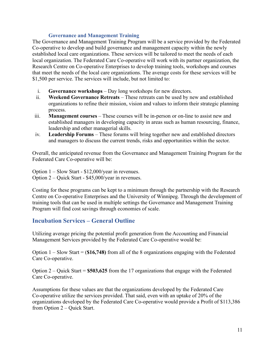#### **Governance and Management Training**

<span id="page-10-0"></span>The Governance and Management Training Program will be a service provided by the Federated Co-operative to develop and build governance and management capacity within the newly established local care organizations. These services will be tailored to meet the needs of each local organization. The Federated Care Co-operative will work with its partner organization, the Research Centre on Co-operative Enterprises to develop training tools, workshops and courses that meet the needs of the local care organizations. The average costs for these services will be \$1,500 per service. The services will include, but not limited to:

- i. **Governance workshops** Day long workshops for new directors.
- ii. **Weekend Governance Retreats** These retreats can be used by new and established organizations to refine their mission, vision and values to inform their strategic planning process.
- iii. **Management courses** These courses will be in-person or on-line to assist new and established managers in developing capacity in areas such as human resourcing, finance, leadership and other managerial skills.
- iv. **Leadership Forums** These forums will bring together new and established directors and managers to discuss the current trends, risks and opportunities within the sector.

Overall, the anticipated revenue from the Governance and Management Training Program for the Federated Care Co-operative will be:

Option 1 – Slow Start - \$12,000/year in revenues. Option 2 – Quick Start - \$45,000/year in revenues.

Costing for these programs can be kept to a minimum through the partnership with the Research Centre on Co-operative Enterprises and the University of Winnipeg. Through the development of training tools that can be used in multiple settings the Governance and Management Training Program will find cost savings through economies of scale.

## <span id="page-10-1"></span>**Incubation Services – General Outline**

Utilizing average pricing the potential profit generation from the Accounting and Financial Management Services provided by the Federated Care Co-operative would be:

Option 1 – Slow Start = (**\$16,748)** from all of the 8 organizations engaging with the Federated Care Co-operative.

Option 2 – Quick Start = **\$503,625** from the 17 organizations that engage with the Federated Care Co-operative.

Assumptions for these values are that the organizations developed by the Federated Care Co-operative utilize the services provided. That said, even with an uptake of 20% of the organizations developed by the Federated Care Co-operative would provide a Profit of \$113,386 from Option 2 – Quick Start.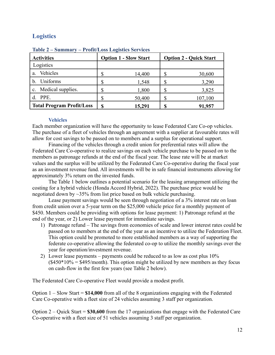## <span id="page-11-0"></span>**Logistics**

| <b>Activities</b>                | <b>Option 1 - Slow Start</b> |        | <b>Option 2 - Quick Start</b> |         |
|----------------------------------|------------------------------|--------|-------------------------------|---------|
| Logistics                        |                              |        |                               |         |
| Vehicles<br>a.                   |                              | 14,400 | J                             | 30,600  |
| Uniforms                         |                              | 1,548  |                               | 3,290   |
| c. Medical supplies.             | ۰D                           | 1,800  | J                             | 3,825   |
| PPE.                             |                              | 50,400 | J                             | 107,100 |
| <b>Total Program Profit/Loss</b> |                              | 15,291 | S                             | 91,957  |

<span id="page-11-2"></span>**Table 2 – Summary – Profit/Loss Logistics Services**

#### **Vehicles**

<span id="page-11-1"></span>Each member organization will have the opportunity to lease Federated Care Co-op vehicles. The purchase of a fleet of vehicles through an agreement with a supplier at favourable rates will allow for cost savings to be passed on to members and a surplus for operational support.

Financing of the vehicles through a credit union for preferential rates will allow the Federated Care Co-operative to realize savings on each vehicle purchase to be passed on to the members as patronage refunds at the end of the fiscal year. The lease rate will be at market values and the surplus will be utilized by the Federated Care Co-operative during the fiscal year as an investment revenue fund. All investments will be in safe financial instruments allowing for approximately 3% return on the invested funds.

The Table 1 below outlines a potential scenario for the leasing arrangement utilizing the costing for a hybrid vehicle (Honda Accord Hybrid, 2022). The purchase price would be negotiated down by ~35% from list price based on bulk vehicle purchasing.

Lease payment savings would be seen through negotiation of a 3% interest rate on loan from credit union over a 5-year term on the \$25,000 vehicle price for a monthly payment of \$450. Members could be providing with options for lease payment: 1) Patronage refund at the end of the year, or 2) Lower lease payment for immediate savings.

- 1) Patronage refund The savings from economies of scale and lower interest rates could be passed on to members at the end of the year as an incentive to utilize the Federation Fleet. This option could be promoted to more established members as a way of supporting the federate co-operative allowing the federated co-op to utilize the monthly savings over the year for operation/investment revenue.
- 2) Lower lease payments payments could be reduced to as low as cost plus 10%  $($450*10\% = $495/month)$ . This option might be utilized by new members as they focus on cash-flow in the first few years (see Table 2 below).

The Federated Care Co-operative Fleet would provide a modest profit.

Option 1 – Slow Start = **\$14,000** from all of the 8 organizations engaging with the Federated Care Co-operative with a fleet size of 24 vehicles assuming 3 staff per organization.

Option 2 – Quick Start = **\$30,600** from the 17 organizations that engage with the Federated Care Co-operative with a fleet size of 51 vehicles assuming 3 staff per organization.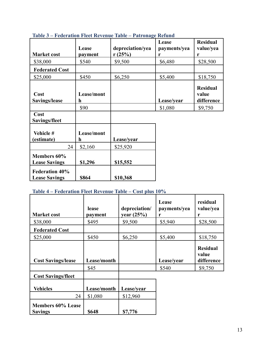| <b>Market cost</b>                                           | Lease<br>payment          | depreciation/yea<br>r(25%) | Lease<br>payments/yea<br>r | <b>Residual</b><br>value/yea<br>r      |
|--------------------------------------------------------------|---------------------------|----------------------------|----------------------------|----------------------------------------|
| \$38,000                                                     | \$540                     | \$9,500                    | \$6,480                    | \$28,500                               |
| <b>Federated Cost</b>                                        |                           |                            |                            |                                        |
| \$25,000                                                     | \$450                     | \$6,250                    | \$5,400                    | \$18,750                               |
| Cost<br>Savings/lease                                        | Lease/mont<br>h           |                            | Lease/year                 | <b>Residual</b><br>value<br>difference |
|                                                              | \$90                      |                            | \$1,080                    | \$9,750                                |
| Cost<br>Savings/fleet                                        |                           |                            |                            |                                        |
| Vehicle #<br>(estimate)                                      | Lease/mont<br>$\mathbf h$ | Lease/year                 |                            |                                        |
| 24                                                           | \$2,160                   | \$25,920                   |                            |                                        |
| Members 60%<br><b>Lease Savings</b><br><b>Federation 40%</b> | \$1,296                   | \$15,552                   |                            |                                        |

<span id="page-12-0"></span>**Table 3 – Federation Fleet Revenue Table – Patronage Refund**

# <span id="page-12-1"></span>**Table 4 – Federation Fleet Revenue Table – Cost plus 10%**

**Lease Savings \$864 \$10,368**

| <b>Market cost</b>        | lease<br>payment | depreciation/<br>year $(25%)$ | Lease<br>payments/yea<br>r | residual<br>value/yea<br>r |
|---------------------------|------------------|-------------------------------|----------------------------|----------------------------|
| \$38,000                  | \$495            | \$9,500                       | \$5,940                    | \$28,500                   |
| <b>Federated Cost</b>     |                  |                               |                            |                            |
| \$25,000                  | \$450            | \$6,250                       | \$5,400                    | \$18,750                   |
|                           |                  |                               |                            | <b>Residual</b><br>value   |
| <b>Cost Savings/lease</b> | Lease/month      |                               | Lease/year                 | difference                 |
|                           | \$45             |                               | \$540                      | \$9,750                    |
| <b>Cost Savings/fleet</b> |                  |                               |                            |                            |
| <b>Vehicles</b>           | Lease/month      | Lease/vear                    |                            |                            |
| 24                        | \$1,080          | \$12,960                      |                            |                            |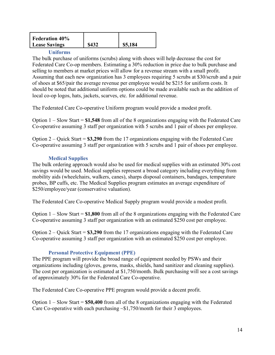| <b>Federation 40%</b> |       |         |
|-----------------------|-------|---------|
| <b>Lease Savings</b>  | \$432 | \$5,184 |
|                       |       |         |

#### **Uniforms**

<span id="page-13-0"></span>The bulk purchase of uniforms (scrubs) along with shoes will help decrease the cost for Federated Care Co-op members. Estimating a 30% reduction in price due to bulk purchase and selling to members at market prices will allow for a revenue stream with a small profit. Assuming that each new organization has 3 employees requiring 5 scrubs at \$30/scrub and a pair of shoes at \$65/pair the average revenue per employee would be \$215 for uniform costs. It should be noted that additional uniform options could be made available such as the addition of local co-op logos, hats, jackets, scarves, etc. for additional revenue.

The Federated Care Co-operative Uniform program would provide a modest profit.

Option 1 – Slow Start = **\$1,548** from all of the 8 organizations engaging with the Federated Care Co-operative assuming 3 staff per organization with 5 scrubs and 1 pair of shoes per employee.

Option 2 – Quick Start = **\$3,290** from the 17 organizations engaging with the Federated Care Co-operative assuming 3 staff per organization with 5 scrubs and 1 pair of shoes per employee.

#### **Medical Supplies**

<span id="page-13-1"></span>The bulk ordering approach would also be used for medical supplies with an estimated 30% cost savings would be used. Medical supplies represent a broad category including everything from mobility aids (wheelchairs, walkers, canes), sharps disposal containers, bandages, temperature probes, BP cuffs, etc. The Medical Supplies program estimates an average expenditure of \$250/employee/year (conservative valuation).

The Federated Care Co-operative Medical Supply program would provide a modest profit.

Option 1 – Slow Start = **\$1,800** from all of the 8 organizations engaging with the Federated Care Co-operative assuming 3 staff per organization with an estimated \$250 cost per employee.

Option 2 – Quick Start = **\$3,290** from the 17 organizations engaging with the Federated Care Co-operative assuming 3 staff per organization with an estimated \$250 cost per employee.

#### **Personal Protective Equipment (PPE)**

<span id="page-13-2"></span>The PPE program will provide the broad range of equipment needed by PSWs and their organizations including (gloves, gowns, masks, shields, hand sanitizer and cleaning supplies). The cost per organization is estimated at \$1,750/month. Bulk purchasing will see a cost savings of approximately 30% for the Federated Care Co-operative.

The Federated Care Co-operative PPE program would provide a decent profit.

Option 1 – Slow Start = **\$50,400** from all of the 8 organizations engaging with the Federated Care Co-operative with each purchasing  $\sim $1,750$ /month for their 3 employees.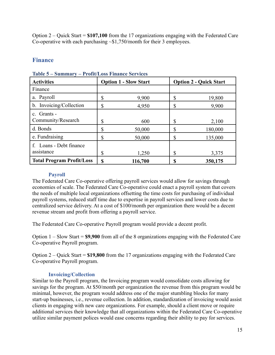Option 2 – Quick Start = **\$107,100** from the 17 organizations engaging with the Federated Care Co-operative with each purchasing  $\sim$ \$1,750/month for their 3 employees.

## <span id="page-14-0"></span>**Finance**

| <b>Activities</b>                     |    | <b>Option 1 - Slow Start</b> |    | <b>Option 2 - Quick Start</b> |
|---------------------------------------|----|------------------------------|----|-------------------------------|
| Finance                               |    |                              |    |                               |
| a. Payroll                            | \$ | 9,900                        | \$ | 19,800                        |
| b. Invoicing/Collection               | \$ | 4,950                        | \$ | 9,900                         |
| c. Grants -<br>Community/Research     | \$ | 600                          | \$ | 2,100                         |
| d. Bonds                              | \$ | 50,000                       | \$ | 180,000                       |
| e. Fundraising                        | \$ | 50,000                       | \$ | 135,000                       |
| f. Loans - Debt finance<br>assistance | \$ | 1,250                        | \$ | 3,375                         |
| <b>Total Program Profit/Loss</b>      | S  | 116,700                      | S  | 350,175                       |

<span id="page-14-3"></span>**Table 5 – Summary – Profit/Loss Finance Services**

#### **Payroll**

<span id="page-14-1"></span>The Federated Care Co-operative offering payroll services would allow for savings through economies of scale. The Federated Care Co-operative could enact a payroll system that covers the needs of multiple local organizations offsetting the time costs for purchasing of individual payroll systems, reduced staff time due to expertise in payroll services and lower costs due to centralized service delivery. At a cost of \$100/month per organization there would be a decent revenue stream and profit from offering a payroll service.

The Federated Care Co-operative Payroll program would provide a decent profit.

Option 1 – Slow Start = **\$9,900** from all of the 8 organizations engaging with the Federated Care Co-operative Payroll program.

Option 2 – Quick Start = **\$19,800** from the 17 organizations engaging with the Federated Care Co-operative Payroll program.

#### **Invoicing/Collection**

<span id="page-14-2"></span>Similar to the Payroll program, the Invoicing program would consolidate costs allowing for savings for the program. At \$50/month per organization the revenue from this program would be minimal, however, the program would address one of the major stumbling blocks for many start-up businesses, i.e., revenue collection. In addition, standardization of invoicing would assist clients in engaging with new care organizations. For example, should a client move or require additional services their knowledge that all organizations within the Federated Care Co-operative utilize similar payment polices would ease concerns regarding their ability to pay for services.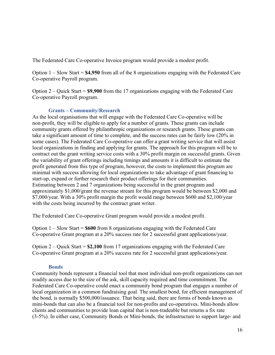The Federated Care Co-operative Invoice program would provide a modest profit.

Option 1 – Slow Start = **\$4,950** from all of the 8 organizations engaging with the Federated Care Co-operative Payroll program.

Option 2 – Quick Start = **\$9,900** from the 17 organizations engaging with the Federated Care Co-operative Payroll program.

#### **Grants – Community/Research**

<span id="page-15-0"></span>As the local organisations that will engage with the Federated Care Co-operative will be non-profit, they will be eligible to apply for a number of grants. These grants can include community grants offered by philanthropic organizations or research grants. These grants can take a significant amount of time to complete, and the success rates can be fairly low (20% in some cases). The Federated Care Co-operative can offer a grant writing service that will assist local organizations in finding and applying for grants. The approach for this program will be to contract out the grant writing service costs with a 30% profit margin on successful grants. Given the variability of grant offerings including timings and amounts it is difficult to estimate the profit generated from this type of program, however, the costs to implement this program are minimal with success allowing for local organizations to take advantage of grant financing to start-up, expand or further research their product offerings for their communities. Estimating between 2 and 7 organizations being successful in the grant program and approximately \$1,000/grant the revenue stream for this program would be between \$2,000 and \$7,000/year. With a 30% profit margin the profit would range between \$600 and \$2,100/year with the costs being incurred by the contract grant writer.

The Federated Care Co-operative Grant program would provide a modest profit.

Option 1 – Slow Start = **\$600** from 8 organizations engaging with the Federated Care Co-operative Grant program at a 20% success rate for 2 successful grant applications/year.

Option 2 – Quick Start = **\$2,100** from 17 organizations engaging with the Federated Care Co-operative Grant program at a 20% success rate for 2 successful grant applications/year.

#### **Bonds**

<span id="page-15-1"></span>Community bonds represent a financial tool that most individual non-profit organizations can not readily access due to the size of the ask, skill capacity required and time commitment. The Federated Care Co-operative could enact a community bond program that engages a number of local organization in a common fundraising goal. The smallest bond, for efficient management of the bond, is normally \$500,000/issuance. That being said, there are forms of bonds known as mini-bonds that can also be a financial tool for non-profits and co-operatives. Mini-bonds allow clients and communities to provide loan capital that is non-tradeable but returns a fix rate (3-5%). In either case, Community Bonds or Mini-bonds, the infrastructure to support large- and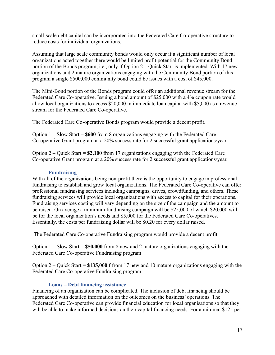small-scale debt capital can be incorporated into the Federated Care Co-operative structure to reduce costs for individual organizations.

Assuming that large scale community bonds would only occur if a significant number of local organizations acted together there would be limited profit potential for the Community Bond portion of the Bonds program, i.e., only if Option 2 – Quick Start is implemented. With 17 new organizations and 2 mature organizations engaging with the Community Bond portion of this program a single \$500,000 community bond could be issues with a cost of \$45,000.

The Mini-Bond portion of the Bonds program could offer an additional revenue stream for the Federated Care Co-operative. Issuing a bond amount of \$25,000 with a 4% coupon rate would allow local organizations to access \$20,000 in immediate loan capital with \$5,000 as a revenue stream for the Federated Care Co-operative.

The Federated Care Co-operative Bonds program would provide a decent profit.

Option 1 – Slow Start = **\$600** from 8 organizations engaging with the Federated Care Co-operative Grant program at a 20% success rate for 2 successful grant applications/year.

Option 2 – Quick Start = **\$2,100** from 17 organizations engaging with the Federated Care Co-operative Grant program at a 20% success rate for 2 successful grant applications/year.

#### **Fundraising**

<span id="page-16-0"></span>With all of the organizations being non-profit there is the opportunity to engage in professional fundraising to establish and grow local organizations. The Federated Care Co-operative can offer professional fundraising services including campaigns, drives, crowdfunding, and others. These fundraising services will provide local organizations with access to capital for their operations. Fundraising services costing will vary depending on the size of the campaign and the amount to be raised. On average a minimum fundraising campaign will be \$25,000 of which \$20,000 will be for the local organization's needs and \$5,000 for the Federated Care Co-operatives. Essentially, the costs per fundraising dollar will be \$0.20 for every dollar raised.

The Federated Care Co-operative Fundraising program would provide a decent profit.

Option 1 – Slow Start = **\$50,000** from 8 new and 2 mature organizations engaging with the Federated Care Co-operative Fundraising program

Option 2 – Quick Start = **\$135,000** f from 17 new and 10 mature organizations engaging with the Federated Care Co-operative Fundraising program.

#### **Loans – Debt financing assistance**

<span id="page-16-1"></span>Financing of an organization can be complicated. The inclusion of debt financing should be approached with detailed information on the outcomes on the business' operations. The Federated Care Co-operative can provide financial education for local organisations so that they will be able to make informed decisions on their capital financing needs. For a minimal \$125 per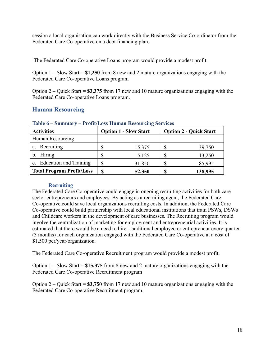session a local organisation can work directly with the Business Service Co-ordinator from the Federated Care Co-operative on a debt financing plan.

The Federated Care Co-operative Loans program would provide a modest profit.

Option 1 – Slow Start = **\$1,250** from 8 new and 2 mature organizations engaging with the Federated Care Co-operative Loans program

Option 2 – Quick Start = **\$3,375** from 17 new and 10 mature organizations engaging with the Federated Care Co-operative Loans program.

## <span id="page-17-0"></span>**Human Resourcing**

| THUIN A<br>$\sim$ $\mu$<br>11011012000 Human Resourcing Services |    |                              |    |                               |  |  |
|------------------------------------------------------------------|----|------------------------------|----|-------------------------------|--|--|
| <b>Activities</b>                                                |    | <b>Option 1 - Slow Start</b> |    | <b>Option 2 - Quick Start</b> |  |  |
| Human Resourcing                                                 |    |                              |    |                               |  |  |
| Recruiting<br>а.                                                 |    | 15,375                       | \$ | 39,750                        |  |  |
| b. Hiring                                                        |    | 5,125                        | \$ | 13,250                        |  |  |
| c. Education and Training                                        |    | 31,850                       |    | 85,995                        |  |  |
| <b>Total Program Profit/Loss</b>                                 | \$ | 52,350                       | S  | 138,995                       |  |  |

#### <span id="page-17-2"></span>**Table 6 – Summary – Profit/Loss Human Resourcing Services**

#### **Recruiting**

<span id="page-17-1"></span>The Federated Care Co-operative could engage in ongoing recruiting activities for both care sector entrepreneurs and employees. By acting as a recruiting agent, the Federated Care Co-operative could save local organizations recruiting costs. In addition, the Federated Care Co-operative could build partnership with local educational institutions that train PSWs, DSWs and Childcare workers in the development of care businesses. The Recruiting program would involve the centralization of marketing for employment and entrepreneurial activities. It is estimated that there would be a need to hire 1 additional employee or entrepreneur every quarter (3 months) for each organization engaged with the Federated Care Co-operative at a cost of \$1,500 per/year/organization.

The Federated Care Co-operative Recruitment program would provide a modest profit.

Option 1 – Slow Start = **\$15,375** from 8 new and 2 mature organizations engaging with the Federated Care Co-operative Recruitment program

Option 2 – Quick Start = **\$3,750** from 17 new and 10 mature organizations engaging with the Federated Care Co-operative Recruitment program.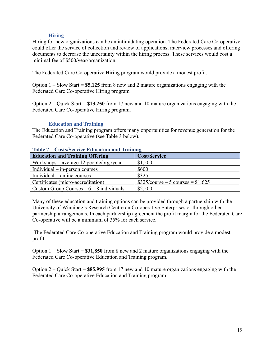#### **Hiring**

<span id="page-18-0"></span>Hiring for new organizations can be an intimidating operation. The Federated Care Co-operative could offer the service of collection and review of applications, interview processes and offering documents to decrease the uncertainty within the hiring process. These services would cost a minimal fee of \$500/year/organization.

The Federated Care Co-operative Hiring program would provide a modest profit.

Option 1 – Slow Start = **\$5,125** from 8 new and 2 mature organizations engaging with the Federated Care Co-operative Hiring program

Option 2 – Quick Start = **\$13,250** from 17 new and 10 mature organizations engaging with the Federated Care Co-operative Hiring program.

#### **Education and Training**

<span id="page-18-1"></span>The Education and Training program offers many opportunities for revenue generation for the Federated Care Co-operative (see Table 3 below).

| Table / Costs/Dervice Equention and Hamme         |                                    |  |  |
|---------------------------------------------------|------------------------------------|--|--|
| <b>Education and Training Offering</b>            | <b>Cost/Service</b>                |  |  |
| Workshops – average 12 people/org./year           | \$1,500                            |  |  |
| $\vert$ Individual – in-person courses            | \$600                              |  |  |
| Individual – online courses                       | \$325                              |  |  |
| Certificates (micro-accreditation)                | $$325/course - 5 courses = $1,625$ |  |  |
| $\vert$ Custom Group Courses $-6 - 8$ individuals | \$2,500                            |  |  |

#### <span id="page-18-2"></span>**Table 7 – Costs/Service Education and Training**

Many of these education and training options can be provided through a partnership with the University of Winnipeg's Research Centre on Co-operative Enterprises or through other partnership arrangements. In each partnership agreement the profit margin for the Federated Care Co-operative will be a minimum of 35% for each service.

The Federated Care Co-operative Education and Training program would provide a modest profit.

Option 1 – Slow Start = **\$31,850** from 8 new and 2 mature organizations engaging with the Federated Care Co-operative Education and Training program.

Option 2 – Quick Start = **\$85,995** from 17 new and 10 mature organizations engaging with the Federated Care Co-operative Education and Training program.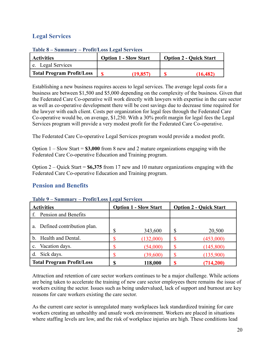## <span id="page-19-0"></span>**Legal Services**

| <b>Activities</b>                | <b>Option 1 - Slow Start</b> | <b>Option 2 - Quick Start</b> |
|----------------------------------|------------------------------|-------------------------------|
| e. Legal Services                |                              |                               |
| <b>Total Program Profit/Loss</b> | (19.857                      | (16, 482)                     |

#### <span id="page-19-2"></span>**Table 8 – Summary – Profit/Loss Legal Services**

Establishing a new business requires access to legal services. The average legal costs for a business are between \$1,500 and \$5,000 depending on the complexity of the business. Given that the Federated Care Co-operative will work directly with lawyers with expertise in the care sector as well as co-operative development there will be cost savings due to decrease time required for the lawyer with each client. Costs per organization for legal fees through the Federated Care Co-operative would be, on average, \$1,250. With a 30% profit margin for legal fees the Legal Services program will provide a very modest profit for the Federated Care Co-operative.

The Federated Care Co-operative Legal Services program would provide a modest profit.

Option 1 – Slow Start = **\$3,000** from 8 new and 2 mature organizations engaging with the Federated Care Co-operative Education and Training program.

Option 2 – Quick Start = **\$6,375** from 17 new and 10 mature organizations engaging with the Federated Care Co-operative Education and Training program.

## <span id="page-19-1"></span>**Pension and Benefits**

| <b>Activities</b>                | <b>Option 1 - Slow Start</b> |           | <b>Option 2 - Quick Start</b> |           |
|----------------------------------|------------------------------|-----------|-------------------------------|-----------|
| Pension and Benefits             |                              |           |                               |           |
| a. Defined contribution plan.    | \$                           | 343,600   | \$                            | 20,500    |
| b. Health and Dental.            | \$                           | (132,000) |                               | (453,000) |
| Vacation days.<br>$c_{-}$        |                              | (54,000)  |                               | (145,800) |
| Sick days.<br>d.                 |                              | (39,600)  |                               | (135,900) |
| <b>Total Program Profit/Loss</b> | \$                           | 118,000   |                               | (714,200) |

#### <span id="page-19-3"></span>**Table 9 – Summary – Profit/Loss Legal Services**

Attraction and retention of care sector workers continues to be a major challenge. While actions are being taken to accelerate the training of new care sector employees there remains the issue of workers exiting the sector. Issues such as being undervalued, lack of support and burnout are key reasons for care workers existing the care sector.

As the current care sector is unregulated many workplaces lack standardized training for care workers creating an unhealthy and unsafe work environment. Workers are placed in situations where staffing levels are low, and the risk of workplace injuries are high. These conditions lead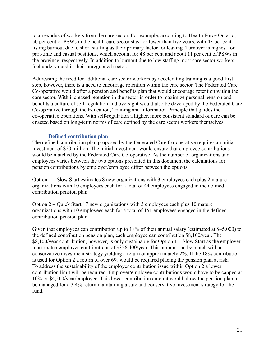to an exodus of workers from the care sector. For example, according to Health Force Ontario, 50 per cent of PSWs in the health-care sector stay for fewer than five years, with 43 per cent listing burnout due to short staffing as their primary factor for leaving. Turnover is highest for part-time and casual positions, which account for 48 per cent and about 11 per cent of PSWs in the province, respectively. In addition to burnout due to low staffing most care sector workers feel undervalued in their unregulated sector.

Addressing the need for additional care sector workers by accelerating training is a good first step, however, there is a need to encourage retention within the care sector. The Federated Care Co-operative would offer a pension and benefits plan that would encourage retention within the care sector. With increased retention in the sector in order to maximize personal pension and benefits a culture of self-regulation and oversight would also be developed by the Federated Care Co-operative through the Education, Training and Information Principle that guides the co-operative operations. With self-regulation a higher, more consistent standard of care can be enacted based on long-term norms of care defined by the care sector workers themselves.

#### **Defined contribution plan**

<span id="page-20-0"></span>The defined contribution plan proposed by the Federated Care Co-operative requires an initial investment of \$20 million. The initial investment would ensure that employee contributions would be matched by the Federated Care Co-operative. As the number of organizations and employees varies between the two options presented in this document the calculations for pension contributions by employer/employee differ between the options.

Option 1 – Slow Start estimates 8 new organizations with 3 employees each plus 2 mature organizations with 10 employees each for a total of 44 employees engaged in the defined contribution pension plan.

Option 2 – Quick Start 17 new organizations with 3 employees each plus 10 mature organizations with 10 employees each for a total of 151 employees engaged in the defined contribution pension plan.

Given that employees can contribution up to 18% of their annual salary (estimated at \$45,000) to the defined contribution pension plan, each employee can contribution \$8,100/year. The \$8,100/year contribution, however, is only sustainable for Option 1 – Slow Start as the employer must match employee contributions of \$356,400/year. This amount can be match with a conservative investment strategy yielding a return of approximately 2%. If the 18% contribution is used for Option 2 a return of over 6% would be required placing the pension plan at risk. To address the sustainability of the employer contribution issue within Option 2 a lower contribution limit will be required. Employer/employee contributions would have to be capped at 10% or \$4,500/year/employee. This lower contribution amount would allow the pension plan to be managed for a 3.4% return maintaining a safe and conservative investment strategy for the fund.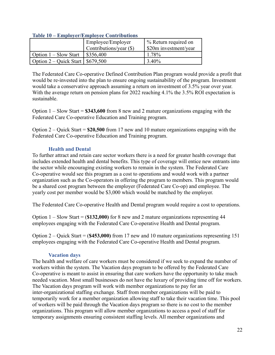| $\sim$                               | $\frac{1}{2}$ and $\frac{1}{2}$ and $\frac{1}{2}$ and $\frac{1}{2}$ are $\frac{1}{2}$ and $\frac{1}{2}$ are $\frac{1}{2}$ |                       |
|--------------------------------------|---------------------------------------------------------------------------------------------------------------------------|-----------------------|
|                                      | Employee/Employer                                                                                                         | % Return required on  |
|                                      | Contributions/year (\$)                                                                                                   | \$20m investment/year |
| Option 1 – Slow Start                | $\frac{$356,400}{ }$                                                                                                      | 1.78%                 |
| Option $2 -$ Quick Start   \$679,500 |                                                                                                                           | 3.40%                 |

#### <span id="page-21-2"></span>**Table 10 – Employer/Employee Contributions**

The Federated Care Co-operative Defined Contribution Plan program would provide a profit that would be re-invested into the plan to ensure ongoing sustainability of the program. Investment would take a conservative approach assuming a return on investment of 3.5% year over year. With the average return on pension plans for 2022 reaching 4.1% the 3.5% ROI expectation is sustainable.

Option 1 – Slow Start = **\$343,600** from 8 new and 2 mature organizations engaging with the Federated Care Co-operative Education and Training program.

Option 2 – Quick Start = **\$20,500** from 17 new and 10 mature organizations engaging with the Federated Care Co-operative Education and Training program.

#### **Health and Dental**

<span id="page-21-0"></span>To further attract and retain care sector workers there is a need for greater health coverage that includes extended health and dental benefits. This type of coverage will entice new entrants into the sector while encouraging existing workers to remain in the system. The Federated Care Co-operative would see this program as a cost to operations and would work with a partner organization such as the Co-operators in offering the program to members. This program would be a shared cost program between the employer (Federated Care Co-op) and employee. The yearly cost per member would be \$3,000 which would be matched by the employer.

The Federated Care Co-operative Health and Dental program would require a cost to operations.

Option 1 – Slow Start = (**\$132,000)** for 8 new and 2 mature organizations representing 44 employees engaging with the Federated Care Co-operative Health and Dental program.

Option 2 – Quick Start = (**\$453,000)** from 17 new and 10 mature organizations representing 151 employees engaging with the Federated Care Co-operative Health and Dental program.

#### **Vacation days**

<span id="page-21-1"></span>The health and welfare of care workers must be considered if we seek to expand the number of workers within the system. The Vacation days program to be offered by the Federated Care Co-operative is meant to assist in ensuring that care workers have the opportunity to take much needed vacation. Most small businesses do not have the luxury of providing time off for workers. The Vacation days program will work with member organizations to pay for an inter-organizational staffing exchange. Staff from member organizations will be paid to temporarily work for a member organization allowing staff to take their vacation time. This pool of workers will be paid through the Vacation days program so there is no cost to the member organizations. This program will allow member organizations to access a pool of staff for temporary assignments ensuring consistent staffing levels. All member organizations and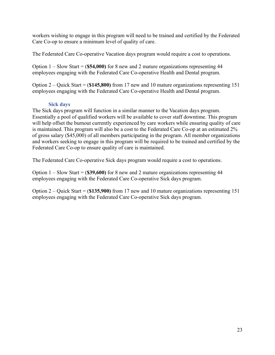workers wishing to engage in this program will need to be trained and certified by the Federated Care Co-op to ensure a minimum level of quality of care.

The Federated Care Co-operative Vacation days program would require a cost to operations.

Option 1 – Slow Start = (**\$54,000)** for 8 new and 2 mature organizations representing 44 employees engaging with the Federated Care Co-operative Health and Dental program.

Option 2 – Quick Start = (**\$145,800)** from 17 new and 10 mature organizations representing 151 employees engaging with the Federated Care Co-operative Health and Dental program.

#### **Sick days**

<span id="page-22-0"></span>The Sick days program will function in a similar manner to the Vacation days program. Essentially a pool of qualified workers will be available to cover staff downtime. This program will help offset the burnout currently experienced by care workers while ensuring quality of care is maintained. This program will also be a cost to the Federated Care Co-op at an estimated 2% of gross salary (\$45,000) of all members participating in the program. All member organizations and workers seeking to engage in this program will be required to be trained and certified by the Federated Care Co-op to ensure quality of care is maintained.

The Federated Care Co-operative Sick days program would require a cost to operations.

Option 1 – Slow Start = (**\$39,600)** for 8 new and 2 mature organizations representing 44 employees engaging with the Federated Care Co-operative Sick days program.

Option 2 – Quick Start = (**\$135,900)** from 17 new and 10 mature organizations representing 151 employees engaging with the Federated Care Co-operative Sick days program.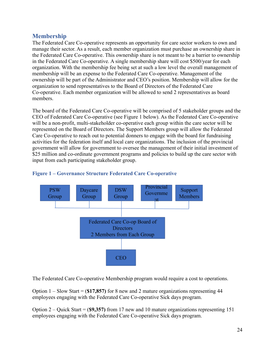## <span id="page-23-0"></span>**Membership**

The Federated Care Co-operative represents an opportunity for care sector workers to own and manage their sector. As a result, each member organization must purchase an ownership share in the Federated Care Co-operative. This ownership share is not meant to be a barrier to ownership in the Federated Care Co-operative. A single membership share will cost \$500/year for each organization. With the membership fee being set at such a low level the overall management of membership will be an expense to the Federated Care Co-operative. Management of the ownership will be part of the Administrator and CEO's position. Membership will allow for the organization to send representatives to the Board of Directors of the Federated Care Co-operative. Each member organization will be allowed to send 2 representatives as board members.

The board of the Federated Care Co-operative will be comprised of 5 stakeholder groups and the CEO of Federated Care Co-operative (see Figure 1 below). As the Federated Care Co-operative will be a non-profit, multi-stakeholder co-operative each group within the care sector will be represented on the Board of Directors. The Support Members group will allow the Federated Care Co-operative to reach out to potential donners to engage with the board for fundraising activities for the federation itself and local care organizations. The inclusion of the provincial government will allow for government to oversee the management of their initial investment of \$25 million and co-ordinate government programs and policies to build up the care sector with input from each participating stakeholder group.



#### <span id="page-23-1"></span>**Figure 1 – Governance Structure Federated Care Co-operative**

The Federated Care Co-operative Membership program would require a cost to operations.

Option 1 – Slow Start = (**\$17,857)** for 8 new and 2 mature organizations representing 44 employees engaging with the Federated Care Co-operative Sick days program.

Option 2 – Quick Start = (**\$9,357)** from 17 new and 10 mature organizations representing 151 employees engaging with the Federated Care Co-operative Sick days program.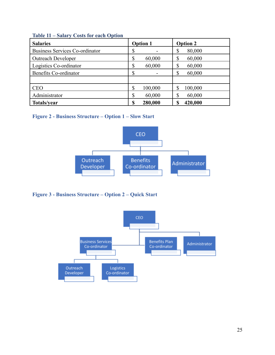<span id="page-24-0"></span>

| <b>Table 11 – Salary Costs for each Option</b> |  |
|------------------------------------------------|--|
|------------------------------------------------|--|

| <b>Salaries</b>                       | <b>Option 1</b> | <b>Option 2</b> |
|---------------------------------------|-----------------|-----------------|
| <b>Business Services Co-ordinator</b> | \$              | 80,000<br>ጦ     |
| <b>Outreach Developer</b>             | \$<br>60,000    | 60,000          |
| Logistics Co-ordinator                | \$<br>60,000    | 60,000          |
| Benefits Co-ordinator                 | \$              | 60,000          |
|                                       |                 |                 |
| <b>CEO</b>                            | \$<br>100,000   | 100,000         |
| Administrator                         | \$<br>60,000    | 60,000          |
| Totals/year                           | 280,000<br>\$   | 420,000         |

### <span id="page-24-1"></span>**Figure 2 - Business Structure – Option 1 – Slow Start**



<span id="page-24-2"></span>**Figure 3 - Business Structure – Option 2 – Quick Start**

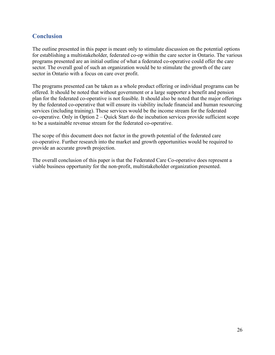## <span id="page-25-0"></span>**Conclusion**

The outline presented in this paper is meant only to stimulate discussion on the potential options for establishing a multistakeholder, federated co-op within the care sector in Ontario. The various programs presented are an initial outline of what a federated co-operative could offer the care sector. The overall goal of such an organization would be to stimulate the growth of the care sector in Ontario with a focus on care over profit.

The programs presented can be taken as a whole product offering or individual programs can be offered. It should be noted that without government or a large supporter a benefit and pension plan for the federated co-operative is not feasible. It should also be noted that the major offerings by the federated co-operative that will ensure its viability include financial and human resourcing services (including training). These services would be the income stream for the federated co-operative. Only in Option 2 – Quick Start do the incubation services provide sufficient scope to be a sustainable revenue stream for the federated co-operative.

The scope of this document does not factor in the growth potential of the federated care co-operative. Further research into the market and growth opportunities would be required to provide an accurate growth projection.

The overall conclusion of this paper is that the Federated Care Co-operative does represent a viable business opportunity for the non-profit, multistakeholder organization presented.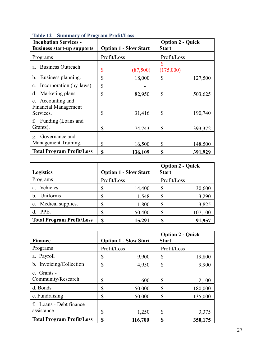| <b>Incubation Services -</b><br><b>Business start-up supports</b> | <b>Option 1 - Slow Start</b> |          | <b>Option 2 - Quick</b><br><b>Start</b> |         |
|-------------------------------------------------------------------|------------------------------|----------|-----------------------------------------|---------|
| Programs                                                          | Profit/Loss                  |          | Profit/Loss                             |         |
| <b>Business Outreach</b><br>a.                                    | \$                           | (87,500) | S<br>(175,000)                          |         |
| Business planning.<br>b.                                          | \$                           | 18,000   | \$                                      | 127,500 |
| Incorporation (by-laws).<br>$\mathbf{c}$ .                        | \$                           |          |                                         |         |
| Marketing plans.<br>d.                                            | \$                           | 82,950   | \$                                      | 503,625 |
| e. Accounting and<br><b>Financial Management</b><br>Services.     | \$                           | 31,416   | \$                                      | 190,740 |
| f. Funding (Loans and<br>Grants).                                 | \$                           | 74,743   | \$                                      | 393,372 |
| Governance and<br>g.<br>Management Training.                      | \$                           | 16,500   | \$                                      | 148,500 |
| <b>Total Program Profit/Loss</b>                                  | <b>S</b>                     | 136,109  | S                                       | 391,929 |

#### <span id="page-26-0"></span>**Table 12 – Summary of Program Profit/Loss**

| <b>Logistics</b>                 | <b>Option 1 - Slow Start</b> |        | <b>Option 2 - Quick</b><br><b>Start</b> |         |
|----------------------------------|------------------------------|--------|-----------------------------------------|---------|
| Programs                         | Profit/Loss                  |        | Profit/Loss                             |         |
| Vehicles<br>a.                   |                              | 14,400 | S                                       | 30,600  |
| Uniforms<br>$b_{-}$              |                              | 1,548  | Л.                                      | 3,290   |
| c. Medical supplies.             |                              | 1,800  | S                                       | 3,825   |
| PPE.                             |                              | 50,400 |                                         | 107,100 |
| <b>Total Program Profit/Loss</b> |                              | 15,291 |                                         | 91,957  |

| <b>Finance</b>                        | <b>Option 1 - Slow Start</b> | <b>Option 2 - Quick</b><br><b>Start</b> |         |
|---------------------------------------|------------------------------|-----------------------------------------|---------|
| Programs                              | Profit/Loss                  | Profit/Loss                             |         |
| a. Payroll                            | S<br>9,900                   | \$                                      | 19,800  |
| b. Invoicing/Collection               | \$<br>4,950                  | \$                                      | 9,900   |
| c. Grants -<br>Community/Research     | S                            | \$<br>600                               | 2,100   |
| d. Bonds                              | \$<br>50,000                 | \$                                      | 180,000 |
| e. Fundraising                        | S<br>50,000                  | \$                                      | 135,000 |
| f. Loans - Debt finance<br>assistance | \$                           | \$<br>1,250                             | 3,375   |
| <b>Total Program Profit/Loss</b>      | S<br>116,700                 | S                                       | 350,175 |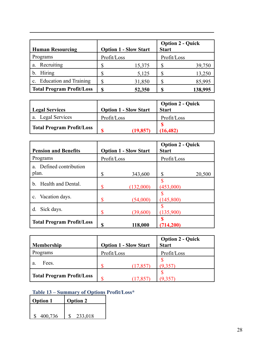| <b>Human Resourcing</b>                         | <b>Option 1 - Slow Start</b> |        | <b>Option 2 - Quick</b><br><b>Start</b> |         |
|-------------------------------------------------|------------------------------|--------|-----------------------------------------|---------|
| Programs                                        | Profit/Loss                  |        | Profit/Loss                             |         |
| Recruiting<br>a.                                |                              | 15,375 |                                         | 39,750  |
| Hiring                                          |                              | 5,125  |                                         | 13,250  |
| <b>Education and Training</b><br>$\mathbf{c}$ . |                              | 31,850 |                                         | 85,995  |
| <b>Total Program Profit/Loss</b>                |                              | 52,350 |                                         | 138,995 |

| Legal Services                   | <b>Option 1 - Slow Start</b> | <b>Option 2 - Quick</b><br><b>Start</b> |
|----------------------------------|------------------------------|-----------------------------------------|
| a. Legal Services                | Profit/Loss                  | Profit/Loss                             |
| <b>Total Program Profit/Loss</b> | (19.857)                     | (16, 482)                               |

| <b>Pension and Benefits</b>      |             | <b>Option 1 - Slow Start</b> | <b>Option 2 - Quick</b><br><b>Start</b> |        |
|----------------------------------|-------------|------------------------------|-----------------------------------------|--------|
| Programs                         | Profit/Loss |                              | Profit/Loss                             |        |
| a. Defined contribution<br>plan. | S           | 343,600                      | S                                       | 20,500 |
| b. Health and Dental.            | S           | (132,000)                    | (453,000)                               |        |
| c. Vacation days.                | \$          | (54,000)                     | (145,800)                               |        |
| Sick days.<br>d.                 | S           | (39,600)                     | (135,900)                               |        |
| <b>Total Program Profit/Loss</b> | \$          | 118,000                      | (714, 200)                              |        |

|                                  |                              |           | <b>Option 2 - Quick</b> |
|----------------------------------|------------------------------|-----------|-------------------------|
| <b>Membership</b>                | <b>Option 1 - Slow Start</b> |           | <b>Start</b>            |
| Programs                         | Profit/Loss                  |           | Profit/Loss             |
| Fees.<br>a.                      |                              | (17, 857) |                         |
| <b>Total Program Profit/Loss</b> |                              |           |                         |

## <span id="page-27-0"></span>**Table 13 – Summary of Options Profit/Loss\***

| <b>Option 1</b> | <b>Option 2</b> |
|-----------------|-----------------|
|                 |                 |
| 400,736         | 233,018         |